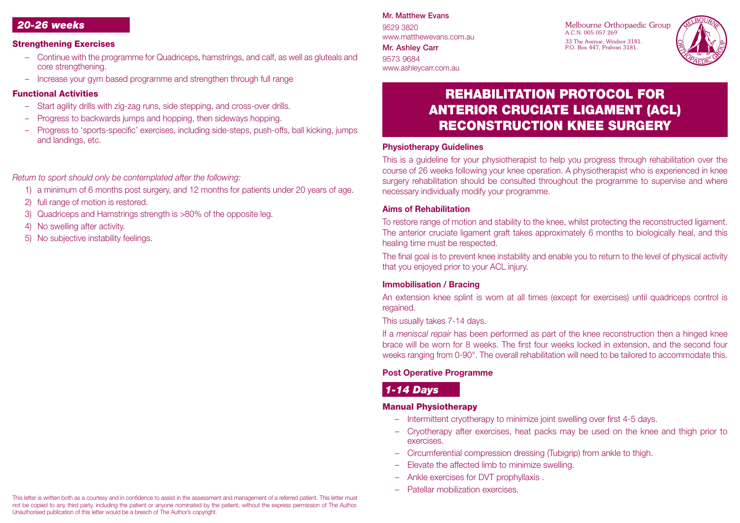### *20-26 weeks*

#### Strengthening Exercises

- Continue with the programme for Quadriceps, hamstrings, and calf, as well as gluteals and core strengthening.
- Increase your gym based programme and strengthen through full range

### Functional Activities

- Start agility drills with zig-zag runs, side stepping, and cross-over drills.
- Progress to backwards jumps and hopping, then sideways hopping.
- Progress to 'sports-specific' exercises, including side-steps, push-offs, ball kicking, jumps and landings, etc.

# *Return to sport should only be contemplated after the following:*

- 1) a minimum of 6 months post surgery, and 12 months for patients under 20 years of age.
- 2) full range of motion is restored.
- 3) Quadriceps and Hamstrings strength is >80% of the opposite leg.
- 4) No swelling after activity.
- 5) No subjective instability feelings.

### Mr. Matthew Evans

9529 3820 www.matthewevans.com.au Mr. Ashley Carr

9573 9684 www.ashleycarr.com.au Melbourne Orthopaedic Group A.C.N. 005 057 269 33 The Avenue, Windsor 3181. P.O. Box 447, Prahran 3181.



# REHABILITATION PROTOCOL FOR ANTERIOR CRUCIATE LIGAMENT (ACL) RECONSTRUCTION KNEE SURGERY

#### **Physiotherapy Guidelines**

This is a guideline for your physiotherapist to help you progress through rehabilitation over the course of 26 weeks following your knee operation. A physiotherapist who is experienced in knee surgery rehabilitation should be consulted throughout the programme to supervise and where necessary individually modify your programme.

#### **Aims of Rehabilitation**

To restore range of motion and stability to the knee, whilst protecting the reconstructed ligament. The anterior cruciate ligament graft takes approximately 6 months to biologically heal, and this healing time must be respected.

The final goal is to prevent knee instability and enable you to return to the level of physical activity that you enjoyed prior to your ACL injury.

### **Immobilisation / Bracing**

An extension knee splint is worn at all times (except for exercises) until quadriceps control is regained.

This usually takes 7-14 days.

If a *meniscal repair* has been performed as part of the knee reconstruction then a hinged knee brace will be worn for 8 weeks. The first four weeks locked in extension, and the second four weeks ranging from 0-90°. The overall rehabilitation will need to be tailored to accommodate this.

### **Post Operative Programme**

# *1-14 Days*

### Manual Physiotherapy

- Intermittent cryotherapy to minimize joint swelling over first 4-5 days.
- Cryotherapy after exercises, heat packs may be used on the knee and thigh prior to exercises.
- Circumferential compression dressing (Tubigrip) from ankle to thigh.
- Elevate the affected limb to minimize swelling.
- Ankle exercises for DVT prophyllaxis .
- Patellar mobilization exercises.

This letter is written both as a courtesy and in confidence to assist in the assessment and management of a referred patient. This letter must not be copied to any third party, including the patient or anyone nominated by the patient, without the express permission of The Author. Unauthorised publication of this letter would be a breach of The Author's copyright.